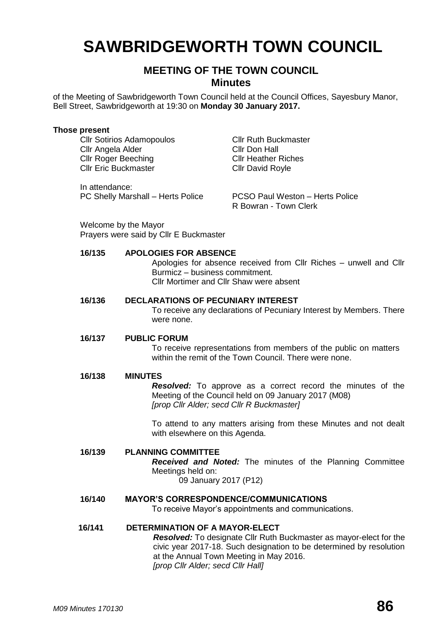# **SAWBRIDGEWORTH TOWN COUNCIL**

# **MEETING OF THE TOWN COUNCIL Minutes**

of the Meeting of Sawbridgeworth Town Council held at the Council Offices, Sayesbury Manor, Bell Street, Sawbridgeworth at 19:30 on **Monday 30 January 2017.**

#### **Those present**

Cllr Sotirios Adamopoulos Cllr Ruth Buckmaster Cllr Angela Alder Cllr Don Hall Cllr Roger Beeching Cllr Heather Riches Cllr Eric Buckmaster Cllr David Royle

In attendance: PC Shelly Marshall – Herts Police PCSO Paul Weston – Herts Police

R Bowran - Town Clerk

Welcome by the Mayor Prayers were said by Cllr E Buckmaster

#### **16/135 APOLOGIES FOR ABSENCE**

Apologies for absence received from Cllr Riches – unwell and Cllr Burmicz – business commitment. Cllr Mortimer and Cllr Shaw were absent

#### **16/136 DECLARATIONS OF PECUNIARY INTEREST**

To receive any declarations of Pecuniary Interest by Members. There were none.

#### **16/137 PUBLIC FORUM**

To receive representations from members of the public on matters within the remit of the Town Council. There were none.

#### **16/138 MINUTES**

*Resolved:* To approve as a correct record the minutes of the Meeting of the Council held on 09 January 2017 (M08) *[prop Cllr Alder; secd Cllr R Buckmaster]*

To attend to any matters arising from these Minutes and not dealt with elsewhere on this Agenda.

# **16/139 PLANNING COMMITTEE**

*Received and Noted:* The minutes of the Planning Committee Meetings held on:

09 January 2017 (P12)

# **16/140 MAYOR'S CORRESPONDENCE/COMMUNICATIONS**

To receive Mayor's appointments and communications.

# **16/141 DETERMINATION OF A MAYOR-ELECT**

*Resolved:* To designate Cllr Ruth Buckmaster as mayor-elect for the civic year 2017-18. Such designation to be determined by resolution at the Annual Town Meeting in May 2016. *[prop Cllr Alder; secd Cllr Hall]*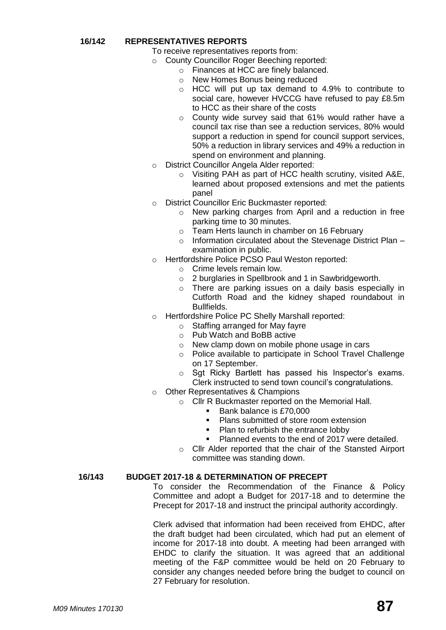#### **16/142 REPRESENTATIVES REPORTS**

- To receive representatives reports from:
- o County Councillor Roger Beeching reported:
	- o Finances at HCC are finely balanced.
		- o New Homes Bonus being reduced
		- o HCC will put up tax demand to 4.9% to contribute to social care, however HVCCG have refused to pay £8.5m to HCC as their share of the costs
	- o County wide survey said that 61% would rather have a council tax rise than see a reduction services, 80% would support a reduction in spend for council support services, 50% a reduction in library services and 49% a reduction in spend on environment and planning.
- o District Councillor Angela Alder reported:
	- o Visiting PAH as part of HCC health scrutiny, visited A&E, learned about proposed extensions and met the patients panel
- o District Councillor Eric Buckmaster reported:
	- o New parking charges from April and a reduction in free parking time to 30 minutes.
	- o Team Herts launch in chamber on 16 February
	- o Information circulated about the Stevenage District Plan examination in public.
- o Hertfordshire Police PCSO Paul Weston reported:
	- o Crime levels remain low.
	- o 2 burglaries in Spellbrook and 1 in Sawbridgeworth.
	- o There are parking issues on a daily basis especially in Cutforth Road and the kidney shaped roundabout in Bullfields.
- o Hertfordshire Police PC Shelly Marshall reported:
	- o Staffing arranged for May fayre
	- o Pub Watch and BoBB active
	- o New clamp down on mobile phone usage in cars
	- o Police available to participate in School Travel Challenge on 17 September.
	- o Sgt Ricky Bartlett has passed his Inspector's exams. Clerk instructed to send town council's congratulations.
- o Other Representatives & Champions
	- o Cllr R Buckmaster reported on the Memorial Hall.
		- Bank balance is £70,000
		- **Plans submitted of store room extension**
		- Plan to refurbish the entrance lobby
		- Planned events to the end of 2017 were detailed.
	- o Cllr Alder reported that the chair of the Stansted Airport committee was standing down.

#### **16/143 BUDGET 2017-18 & DETERMINATION OF PRECEPT**

To consider the Recommendation of the Finance & Policy Committee and adopt a Budget for 2017-18 and to determine the Precept for 2017-18 and instruct the principal authority accordingly.

Clerk advised that information had been received from EHDC, after the draft budget had been circulated, which had put an element of income for 2017-18 into doubt. A meeting had been arranged with EHDC to clarify the situation. It was agreed that an additional meeting of the F&P committee would be held on 20 February to consider any changes needed before bring the budget to council on 27 February for resolution.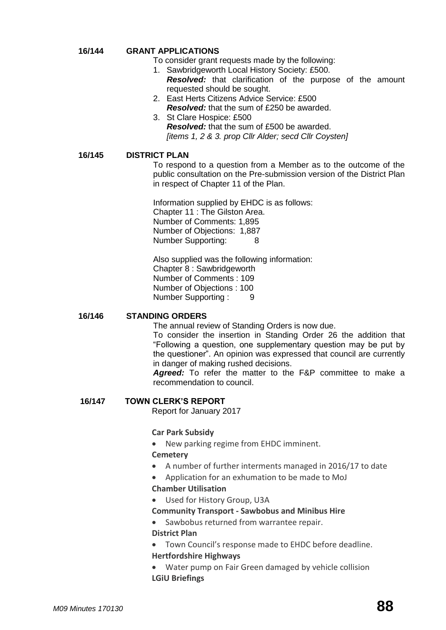#### **16/144 GRANT APPLICATIONS**

- To consider grant requests made by the following:
	- 1. Sawbridgeworth Local History Society: £500. *Resolved:* that clarification of the purpose of the amount
		- requested should be sought.
	- 2. East Herts Citizens Advice Service: £500 *Resolved:* that the sum of £250 be awarded.
	- 3. St Clare Hospice: £500 *Resolved:* that the sum of £500 be awarded. *[items 1, 2 & 3. prop Cllr Alder; secd Cllr Coysten]*

#### **16/145 DISTRICT PLAN**

To respond to a question from a Member as to the outcome of the public consultation on the Pre-submission version of the District Plan in respect of Chapter 11 of the Plan.

Information supplied by EHDC is as follows: Chapter 11 : The Gilston Area. Number of Comments: 1,895 Number of Objections: 1,887 Number Supporting: 8

Also supplied was the following information: Chapter 8 : Sawbridgeworth Number of Comments : 109 Number of Objections : 100 Number Supporting : 9

#### **16/146 STANDING ORDERS**

The annual review of Standing Orders is now due.

To consider the insertion in Standing Order 26 the addition that "Following a question, one supplementary question may be put by the questioner". An opinion was expressed that council are currently in danger of making rushed decisions.

*Agreed:* To refer the matter to the F&P committee to make a recommendation to council.

#### **16/147 TOWN CLERK'S REPORT**

Report for January 2017

#### **Car Park Subsidy**

New parking regime from EHDC imminent.

# **[Cemetery](http://www.sawbridgeworth-tc.gov.uk/town-information/town-council-services/cemetery)**

- A number of further interments managed in 2016/17 to date
- Application for an exhumation to be made to MoJ **Chamber Utilisation**
- Used for History Group, U3A
- **Community Transport - [Sawbobus](http://www.sawbridgeworth-tc.gov.uk/town-information/town-council-services/sawbobus) an[d Minibus Hire](http://www.sawbridgeworth-tc.gov.uk/town-information/town-council-services/minibus-hire)**
- Sawbobus returned from warrantee repair.

# **District Plan**

- Town Council's response made to EHDC before deadline. **Hertfordshire Highways**
- Water pump on Fair Green damaged by vehicle collision **LGiU Briefings**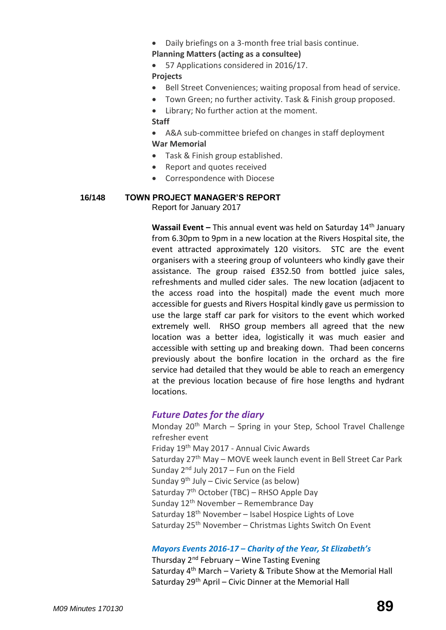- Daily briefings on a 3-month free trial basis continue.
- **[Planning Matters \(acting as a consultee\)](http://www.sawbridgeworth-tc.gov.uk/town-council/planning)**
- 57 Applications considered in 2016/17.

**Projects**

- Bell Street Conveniences; waiting proposal from head of service.
- Town Green; no further activity. Task & Finish group proposed.
- Library; No further action at the moment.

# **Staff**

- A&A sub-committee briefed on changes in staff deployment **War Memorial**
- Task & Finish group established.
- Report and quotes received
- Correspondence with Diocese

# **16/148 TOWN PROJECT MANAGER'S REPORT**

Report for January 2017

**Wassail Event –** This annual event was held on Saturday 14<sup>th</sup> January from 6.30pm to 9pm in a new location at the Rivers Hospital site, the event attracted approximately 120 visitors. STC are the event organisers with a steering group of volunteers who kindly gave their assistance. The group raised £352.50 from bottled juice sales, refreshments and mulled cider sales. The new location (adjacent to the access road into the hospital) made the event much more accessible for guests and Rivers Hospital kindly gave us permission to use the large staff car park for visitors to the event which worked extremely well. RHSO group members all agreed that the new location was a better idea, logistically it was much easier and accessible with setting up and breaking down. Thad been concerns previously about the bonfire location in the orchard as the fire service had detailed that they would be able to reach an emergency at the previous location because of fire hose lengths and hydrant locations.

# *Future Dates for the diary*

Monday  $20<sup>th</sup>$  March – Spring in your Step, School Travel Challenge refresher event Friday 19th May 2017 - Annual Civic Awards Saturday 27<sup>th</sup> May - MOVE week launch event in Bell Street Car Park Sunday  $2^{nd}$  July  $2017$  – Fun on the Field Sunday  $9<sup>th</sup>$  July – Civic Service (as below) Saturday  $7<sup>th</sup>$  October (TBC) – RHSO Apple Day Sunday 12<sup>th</sup> November – Remembrance Day Saturday  $18<sup>th</sup>$  November – Isabel Hospice Lights of Love Saturday 25<sup>th</sup> November – Christmas Lights Switch On Event

# *Mayors Events 2016-17 – Charity of the Year, St Elizabeth's*

Thursday  $2^{nd}$  February – Wine Tasting Evening Saturday  $4<sup>th</sup>$  March – Variety & Tribute Show at the Memorial Hall Saturday 29<sup>th</sup> April – Civic Dinner at the Memorial Hall